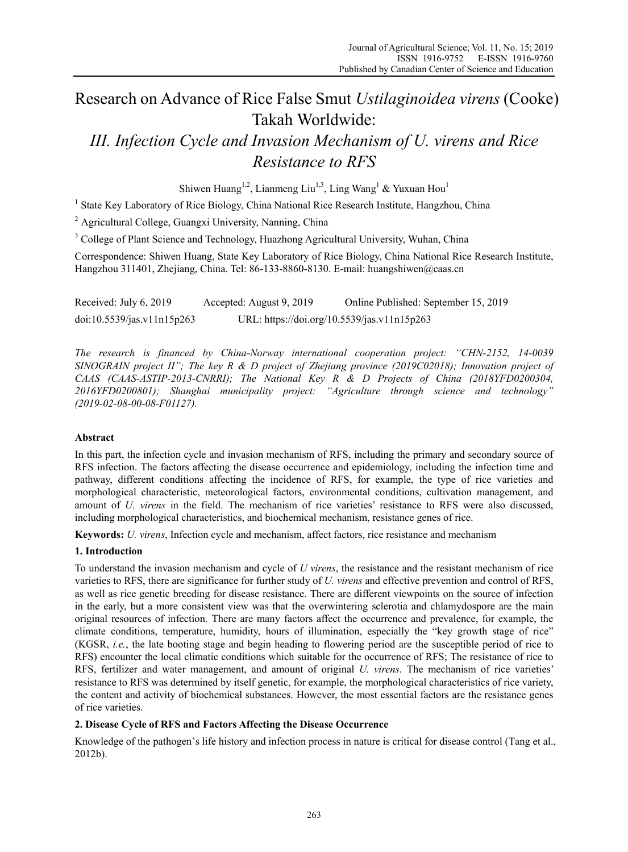# Research on Advance of Rice False Smut *Ustilaginoidea virens* (Cooke) Takah Worldwide:

# *III. Infection Cycle and Invasion Mechanism of U. virens and Rice Resistance to RFS*

Shiwen Huang<sup>1,2</sup>, Lianmeng Liu<sup>1,3</sup>, Ling Wang<sup>1</sup> & Yuxuan Hou<sup>1</sup>

<sup>1</sup> State Key Laboratory of Rice Biology, China National Rice Research Institute, Hangzhou, China

<sup>2</sup> Agricultural College, Guangxi University, Nanning, China

<sup>3</sup> College of Plant Science and Technology, Huazhong Agricultural University, Wuhan, China

Correspondence: Shiwen Huang, State Key Laboratory of Rice Biology, China National Rice Research Institute, Hangzhou 311401, Zhejiang, China. Tel: 86-133-8860-8130. E-mail: huangshiwen@caas.cn

Received: July 6, 2019 Accepted: August 9, 2019 Online Published: September 15, 2019 doi:10.5539/jas.v11n15p263 URL: https://doi.org/10.5539/jas.v11n15p263

*The research is financed by China-Norway international cooperation project: "CHN-2152, 14-0039 SINOGRAIN project II"; The key R & D project of Zhejiang province (2019C02018); Innovation project of CAAS (CAAS-ASTIP-2013-CNRRI); The National Key R & D Projects of China (2018YFD0200304, 2016YFD0200801); Shanghai municipality project: "Agriculture through science and technology" (2019-02-08-00-08-F01127).*

# **Abstract**

In this part, the infection cycle and invasion mechanism of RFS, including the primary and secondary source of RFS infection. The factors affecting the disease occurrence and epidemiology, including the infection time and pathway, different conditions affecting the incidence of RFS, for example, the type of rice varieties and morphological characteristic, meteorological factors, environmental conditions, cultivation management, and amount of *U. virens* in the field. The mechanism of rice varieties' resistance to RFS were also discussed, including morphological characteristics, and biochemical mechanism, resistance genes of rice.

**Keywords:** *U. virens*, Infection cycle and mechanism, affect factors, rice resistance and mechanism

## **1. Introduction**

To understand the invasion mechanism and cycle of *U virens*, the resistance and the resistant mechanism of rice varieties to RFS, there are significance for further study of *U. virens* and effective prevention and control of RFS, as well as rice genetic breeding for disease resistance. There are different viewpoints on the source of infection in the early, but a more consistent view was that the overwintering sclerotia and chlamydospore are the main original resources of infection. There are many factors affect the occurrence and prevalence, for example, the climate conditions, temperature, humidity, hours of illumination, especially the "key growth stage of rice" (KGSR, *i.e.*, the late booting stage and begin heading to flowering period are the susceptible period of rice to RFS) encounter the local climatic conditions which suitable for the occurrence of RFS; The resistance of rice to RFS, fertilizer and water management, and amount of original *U. virens*. The mechanism of rice varieties' resistance to RFS was determined by itself genetic, for example, the morphological characteristics of rice variety, the content and activity of biochemical substances. However, the most essential factors are the resistance genes of rice varieties.

# **2. Disease Cycle of RFS and Factors Affecting the Disease Occurrence**

Knowledge of the pathogen's life history and infection process in nature is critical for disease control (Tang et al., 2012b).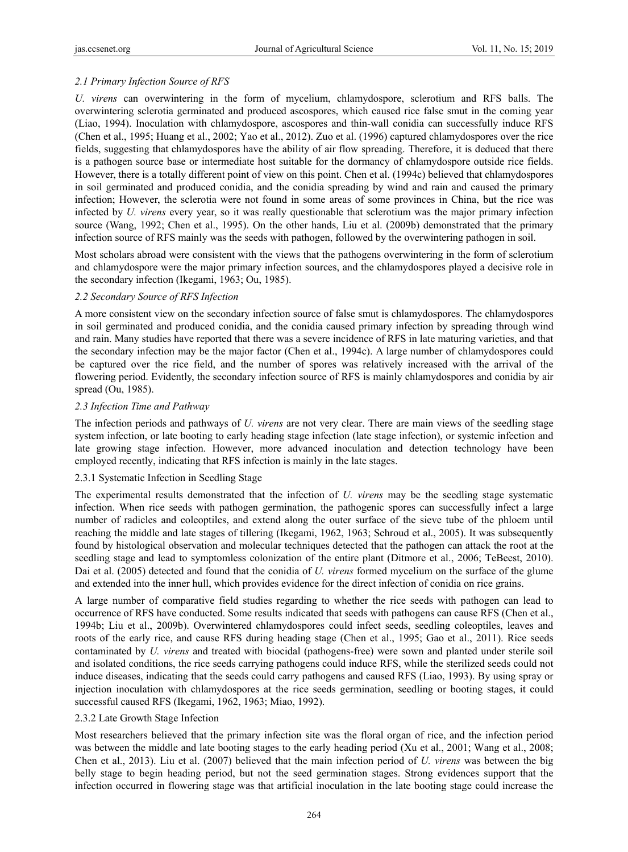## *2.1 Primary Infection Source of RFS*

*U. virens* can overwintering in the form of mycelium, chlamydospore, sclerotium and RFS balls. The overwintering sclerotia germinated and produced ascospores, which caused rice false smut in the coming year (Liao, 1994). Inoculation with chlamydospore, ascospores and thin-wall conidia can successfully induce RFS (Chen et al., 1995; Huang et al., 2002; Yao et al., 2012). Zuo et al. (1996) captured chlamydospores over the rice fields, suggesting that chlamydospores have the ability of air flow spreading. Therefore, it is deduced that there is a pathogen source base or intermediate host suitable for the dormancy of chlamydospore outside rice fields. However, there is a totally different point of view on this point. Chen et al. (1994c) believed that chlamydospores in soil germinated and produced conidia, and the conidia spreading by wind and rain and caused the primary infection; However, the sclerotia were not found in some areas of some provinces in China, but the rice was infected by *U. virens* every year, so it was really questionable that sclerotium was the major primary infection source (Wang, 1992; Chen et al., 1995). On the other hands, Liu et al. (2009b) demonstrated that the primary infection source of RFS mainly was the seeds with pathogen, followed by the overwintering pathogen in soil.

Most scholars abroad were consistent with the views that the pathogens overwintering in the form of sclerotium and chlamydospore were the major primary infection sources, and the chlamydospores played a decisive role in the secondary infection (Ikegami, 1963; Ou, 1985).

#### *2.2 Secondary Source of RFS Infection*

A more consistent view on the secondary infection source of false smut is chlamydospores. The chlamydospores in soil germinated and produced conidia, and the conidia caused primary infection by spreading through wind and rain. Many studies have reported that there was a severe incidence of RFS in late maturing varieties, and that the secondary infection may be the major factor (Chen et al., 1994c). A large number of chlamydospores could be captured over the rice field, and the number of spores was relatively increased with the arrival of the flowering period. Evidently, the secondary infection source of RFS is mainly chlamydospores and conidia by air spread (Ou, 1985).

#### *2.3 Infection Time and Pathway*

The infection periods and pathways of *U. virens* are not very clear. There are main views of the seedling stage system infection, or late booting to early heading stage infection (late stage infection), or systemic infection and late growing stage infection. However, more advanced inoculation and detection technology have been employed recently, indicating that RFS infection is mainly in the late stages.

#### 2.3.1 Systematic Infection in Seedling Stage

The experimental results demonstrated that the infection of *U. virens* may be the seedling stage systematic infection. When rice seeds with pathogen germination, the pathogenic spores can successfully infect a large number of radicles and coleoptiles, and extend along the outer surface of the sieve tube of the phloem until reaching the middle and late stages of tillering (Ikegami, 1962, 1963; Schroud et al., 2005). It was subsequently found by histological observation and molecular techniques detected that the pathogen can attack the root at the seedling stage and lead to symptomless colonization of the entire plant (Ditmore et al., 2006; TeBeest, 2010). Dai et al. (2005) detected and found that the conidia of *U. virens* formed mycelium on the surface of the glume and extended into the inner hull, which provides evidence for the direct infection of conidia on rice grains.

A large number of comparative field studies regarding to whether the rice seeds with pathogen can lead to occurrence of RFS have conducted. Some results indicated that seeds with pathogens can cause RFS (Chen et al., 1994b; Liu et al., 2009b). Overwintered chlamydospores could infect seeds, seedling coleoptiles, leaves and roots of the early rice, and cause RFS during heading stage (Chen et al., 1995; Gao et al., 2011). Rice seeds contaminated by *U. virens* and treated with biocidal (pathogens-free) were sown and planted under sterile soil and isolated conditions, the rice seeds carrying pathogens could induce RFS, while the sterilized seeds could not induce diseases, indicating that the seeds could carry pathogens and caused RFS (Liao, 1993). By using spray or injection inoculation with chlamydospores at the rice seeds germination, seedling or booting stages, it could successful caused RFS (Ikegami, 1962, 1963; Miao, 1992).

#### 2.3.2 Late Growth Stage Infection

Most researchers believed that the primary infection site was the floral organ of rice, and the infection period was between the middle and late booting stages to the early heading period (Xu et al., 2001; Wang et al., 2008; Chen et al., 2013). Liu et al. (2007) believed that the main infection period of *U. virens* was between the big belly stage to begin heading period, but not the seed germination stages. Strong evidences support that the infection occurred in flowering stage was that artificial inoculation in the late booting stage could increase the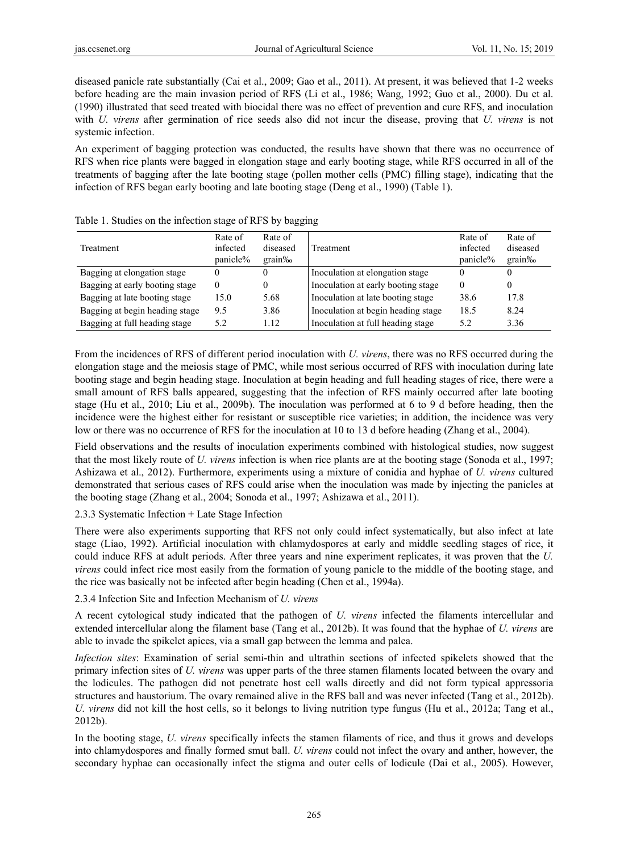diseased panicle rate substantially (Cai et al., 2009; Gao et al., 2011). At present, it was believed that 1-2 weeks before heading are the main invasion period of RFS (Li et al., 1986; Wang, 1992; Guo et al., 2000). Du et al. (1990) illustrated that seed treated with biocidal there was no effect of prevention and cure RFS, and inoculation with *U. virens* after germination of rice seeds also did not incur the disease, proving that *U. virens* is not systemic infection.

An experiment of bagging protection was conducted, the results have shown that there was no occurrence of RFS when rice plants were bagged in elongation stage and early booting stage, while RFS occurred in all of the treatments of bagging after the late booting stage (pollen mother cells (PMC) filling stage), indicating that the infection of RFS began early booting and late booting stage (Deng et al., 1990) (Table 1).

| Treatment                      | Rate of<br>infected<br>panicle% | Rate of<br>diseased<br>$grain\%$ | Treatment                          | Rate of<br>infected<br>panicle% | Rate of<br>diseased<br>$grain\%$ |
|--------------------------------|---------------------------------|----------------------------------|------------------------------------|---------------------------------|----------------------------------|
| Bagging at elongation stage    |                                 | 0                                | Inoculation at elongation stage    |                                 | 0                                |
| Bagging at early booting stage |                                 | 0                                | Inoculation at early booting stage | $\theta$                        | 0                                |
| Bagging at late booting stage  | 15.0                            | 5.68                             | Inoculation at late booting stage  | 38.6                            | 17.8                             |
| Bagging at begin heading stage | 9.5                             | 3.86                             | Inoculation at begin heading stage | 18.5                            | 8.24                             |
| Bagging at full heading stage  | 5.2                             | 1.12                             | Inoculation at full heading stage  | 5.2                             | 3.36                             |

| Table 1. Studies on the infection stage of RFS by bagging |  |  |  |  |  |  |  |  |
|-----------------------------------------------------------|--|--|--|--|--|--|--|--|
|-----------------------------------------------------------|--|--|--|--|--|--|--|--|

From the incidences of RFS of different period inoculation with *U. virens*, there was no RFS occurred during the elongation stage and the meiosis stage of PMC, while most serious occurred of RFS with inoculation during late booting stage and begin heading stage. Inoculation at begin heading and full heading stages of rice, there were a small amount of RFS balls appeared, suggesting that the infection of RFS mainly occurred after late booting stage (Hu et al., 2010; Liu et al., 2009b). The inoculation was performed at 6 to 9 d before heading, then the incidence were the highest either for resistant or susceptible rice varieties; in addition, the incidence was very low or there was no occurrence of RFS for the inoculation at 10 to 13 d before heading (Zhang et al., 2004).

Field observations and the results of inoculation experiments combined with histological studies, now suggest that the most likely route of *U. virens* infection is when rice plants are at the booting stage (Sonoda et al., 1997; Ashizawa et al., 2012). Furthermore, experiments using a mixture of conidia and hyphae of *U. virens* cultured demonstrated that serious cases of RFS could arise when the inoculation was made by injecting the panicles at the booting stage (Zhang et al., 2004; Sonoda et al., 1997; Ashizawa et al., 2011).

2.3.3 Systematic Infection + Late Stage Infection

There were also experiments supporting that RFS not only could infect systematically, but also infect at late stage (Liao, 1992). Artificial inoculation with chlamydospores at early and middle seedling stages of rice, it could induce RFS at adult periods. After three years and nine experiment replicates, it was proven that the *U. virens* could infect rice most easily from the formation of young panicle to the middle of the booting stage, and the rice was basically not be infected after begin heading (Chen et al., 1994a).

2.3.4 Infection Site and Infection Mechanism of *U. virens*

A recent cytological study indicated that the pathogen of *U. virens* infected the filaments intercellular and extended intercellular along the filament base (Tang et al., 2012b). It was found that the hyphae of *U. virens* are able to invade the spikelet apices, via a small gap between the lemma and palea.

*Infection sites*: Examination of serial semi-thin and ultrathin sections of infected spikelets showed that the primary infection sites of *U. virens* was upper parts of the three stamen filaments located between the ovary and the lodicules. The pathogen did not penetrate host cell walls directly and did not form typical appressoria structures and haustorium. The ovary remained alive in the RFS ball and was never infected (Tang et al., 2012b). *U. virens* did not kill the host cells, so it belongs to living nutrition type fungus (Hu et al., 2012a; Tang et al., 2012b).

In the booting stage, *U. virens* specifically infects the stamen filaments of rice, and thus it grows and develops into chlamydospores and finally formed smut ball. *U. virens* could not infect the ovary and anther, however, the secondary hyphae can occasionally infect the stigma and outer cells of lodicule (Dai et al., 2005). However,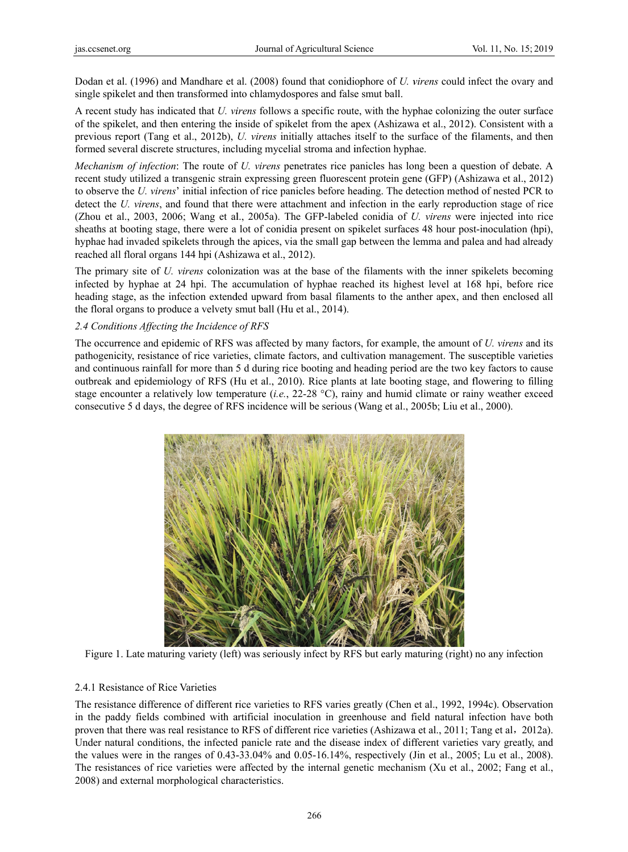Dodan et al. (1996) and Mandhare et al. (2008) found that conidiophore of *U. virens* could infect the ovary and single spikelet and then transformed into chlamydospores and false smut ball.

A recent study has indicated that *U. virens* follows a specific route, with the hyphae colonizing the outer surface of the spikelet, and then entering the inside of spikelet from the apex (Ashizawa et al., 2012). Consistent with a previous report (Tang et al., 2012b), *U. virens* initially attaches itself to the surface of the filaments, and then formed several discrete structures, including mycelial stroma and infection hyphae.

*Mechanism of infection*: The route of *U. virens* penetrates rice panicles has long been a question of debate. A recent study utilized a transgenic strain expressing green fluorescent protein gene (GFP) (Ashizawa et al., 2012) to observe the *U. virens*' initial infection of rice panicles before heading. The detection method of nested PCR to detect the U. virens, and found that there were attachment and infection in the early reproduction stage of rice (Zhou et al., 2003, 2006; Wang et al., 2005a). The GFP-labeled conidia of *U. virens* were injected into rice sheaths at booting stage, there were a lot of conidia present on spikelet surfaces 48 hour post-inoculation (hpi), hyphae had invaded spikelets through the apices, via the small gap between the lemma and palea and had already reached all floral organs 144 hpi (Ashizawa et al., 2012).

The primary site of *U. virens* colonization was at the base of the filaments with the inner spikelets becoming infected by hyphae at 24 hpi. The accumulation of hyphae reached its highest level at 168 hpi, before rice heading stage, as the infection extended upward from basal filaments to the anther apex, and then enclosed all the floral organs to produce a velvety smut ball (Hu et al., 2014).

## 2.4 Conditions Affecting the Incidence of RFS

The occurrence and epidemic of RFS was affected by many factors, for example, the amount of *U. virens* and its pathogenicity, resistance of rice varieties, climate factors, and cultivation management. The susceptible varieties and continuous rainfall for more than 5 d during rice booting and heading period are the two key factors to cause outbreak and epidemiology of RFS (Hu et al., 2010). Rice plants at late booting stage, and flowering to filling stage encounter a relatively low temperature  $(i.e., 22-28 \degree C)$ , rainy and humid climate or rainy weather exceed consecutive 5 d days, the degree of RFS incidence will be serious (Wang et al., 2005b; Liu et al., 2000).



Figure 1. Late maturing variety (left) was seriously infect by RFS but early maturing (right) no any infection

# 2.4.1 Resis stance of Rice Varieties

The resistance difference of different rice varieties to RFS varies greatly (Chen et al., 1992, 1994c). Observation in the paddy fields combined with artificial inoculation in greenhouse and field natural infection have both proven that there was real resistance to RFS of different rice varieties (Ashizawa et al., 2011; Tang et al., 2012a). Under natural conditions, the infected panicle rate and the disease index of different varieties vary greatly, and the values were in the ranges of  $0.43-33.04\%$  and  $0.05-16.14\%$ , respectively (Jin et al., 2005; Lu et al., 2008). The resistances of rice varieties were affected by the internal genetic mechanism (Xu et al., 2002; Fang et al., 2008) and external morphological characteristics.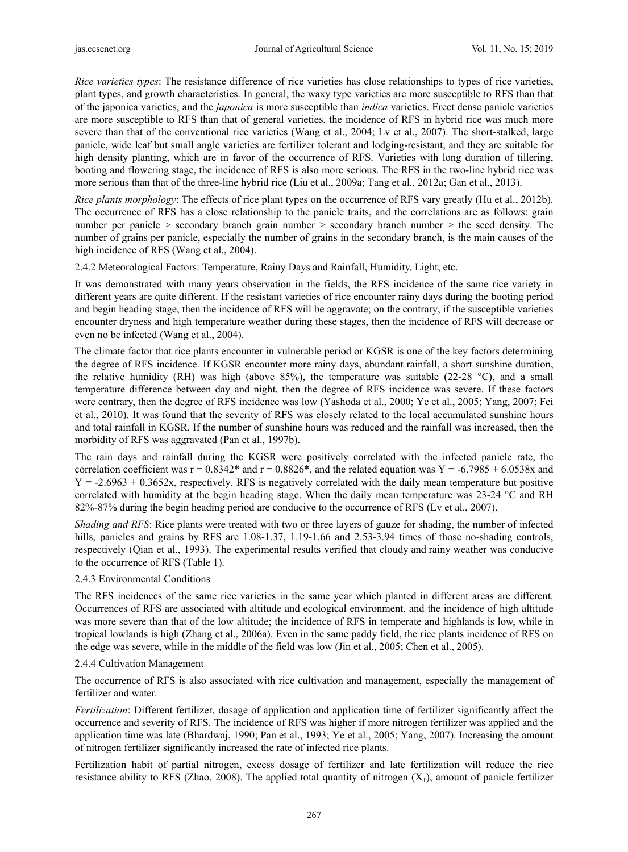*Rice varieties types*: The resistance difference of rice varieties has close relationships to types of rice varieties, plant types, and growth characteristics. In general, the waxy type varieties are more susceptible to RFS than that of the japonica varieties, and the *japonica* is more susceptible than *indica* varieties. Erect dense panicle varieties are more susceptible to RFS than that of general varieties, the incidence of RFS in hybrid rice was much more severe than that of the conventional rice varieties (Wang et al., 2004; Lv et al., 2007). The short-stalked, large panicle, wide leaf but small angle varieties are fertilizer tolerant and lodging-resistant, and they are suitable for high density planting, which are in favor of the occurrence of RFS. Varieties with long duration of tillering, booting and flowering stage, the incidence of RFS is also more serious. The RFS in the two-line hybrid rice was more serious than that of the three-line hybrid rice (Liu et al., 2009a; Tang et al., 2012a; Gan et al., 2013).

*Rice plants morphology*: The effects of rice plant types on the occurrence of RFS vary greatly (Hu et al., 2012b). The occurrence of RFS has a close relationship to the panicle traits, and the correlations are as follows: grain number per panicle > secondary branch grain number > secondary branch number > the seed density. The number of grains per panicle, especially the number of grains in the secondary branch, is the main causes of the high incidence of RFS (Wang et al., 2004).

2.4.2 Meteorological Factors: Temperature, Rainy Days and Rainfall, Humidity, Light, etc.

It was demonstrated with many years observation in the fields, the RFS incidence of the same rice variety in different years are quite different. If the resistant varieties of rice encounter rainy days during the booting period and begin heading stage, then the incidence of RFS will be aggravate; on the contrary, if the susceptible varieties encounter dryness and high temperature weather during these stages, then the incidence of RFS will decrease or even no be infected (Wang et al., 2004).

The climate factor that rice plants encounter in vulnerable period or KGSR is one of the key factors determining the degree of RFS incidence. If KGSR encounter more rainy days, abundant rainfall, a short sunshine duration, the relative humidity (RH) was high (above 85%), the temperature was suitable (22-28 °C), and a small temperature difference between day and night, then the degree of RFS incidence was severe. If these factors were contrary, then the degree of RFS incidence was low (Yashoda et al., 2000; Ye et al., 2005; Yang, 2007; Fei et al., 2010). It was found that the severity of RFS was closely related to the local accumulated sunshine hours and total rainfall in KGSR. If the number of sunshine hours was reduced and the rainfall was increased, then the morbidity of RFS was aggravated (Pan et al., 1997b).

The rain days and rainfall during the KGSR were positively correlated with the infected panicle rate, the correlation coefficient was  $r = 0.8342*$  and  $r = 0.8826*$ , and the related equation was  $Y = -6.7985 + 6.0538x$  and  $Y = -2.6963 + 0.3652x$ , respectively. RFS is negatively correlated with the daily mean temperature but positive correlated with humidity at the begin heading stage. When the daily mean temperature was 23-24 °C and RH 82%-87% during the begin heading period are conducive to the occurrence of RFS (Lv et al., 2007).

*Shading and RFS*: Rice plants were treated with two or three layers of gauze for shading, the number of infected hills, panicles and grains by RFS are 1.08-1.37, 1.19-1.66 and 2.53-3.94 times of those no-shading controls, respectively (Qian et al., 1993). The experimental results verified that cloudy and rainy weather was conducive to the occurrence of RFS (Table 1).

#### 2.4.3 Environmental Conditions

The RFS incidences of the same rice varieties in the same year which planted in different areas are different. Occurrences of RFS are associated with altitude and ecological environment, and the incidence of high altitude was more severe than that of the low altitude; the incidence of RFS in temperate and highlands is low, while in tropical lowlands is high (Zhang et al., 2006a). Even in the same paddy field, the rice plants incidence of RFS on the edge was severe, while in the middle of the field was low (Jin et al., 2005; Chen et al., 2005).

#### 2.4.4 Cultivation Management

The occurrence of RFS is also associated with rice cultivation and management, especially the management of fertilizer and water.

*Fertilization*: Different fertilizer, dosage of application and application time of fertilizer significantly affect the occurrence and severity of RFS. The incidence of RFS was higher if more nitrogen fertilizer was applied and the application time was late (Bhardwaj, 1990; Pan et al., 1993; Ye et al., 2005; Yang, 2007). Increasing the amount of nitrogen fertilizer significantly increased the rate of infected rice plants.

Fertilization habit of partial nitrogen, excess dosage of fertilizer and late fertilization will reduce the rice resistance ability to RFS (Zhao, 2008). The applied total quantity of nitrogen  $(X_1)$ , amount of panicle fertilizer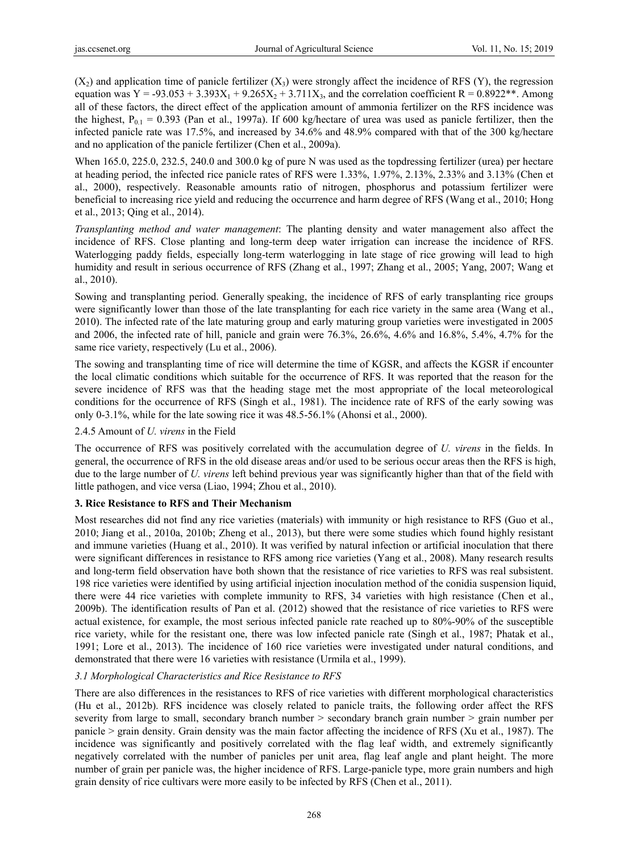$(X_2)$  and application time of panicle fertilizer  $(X_3)$  were strongly affect the incidence of RFS  $(Y)$ , the regression equation was Y = -93.053 + 3.393 $X_1$  + 9.265 $X_2$  + 3.711 $X_3$ , and the correlation coefficient R = 0.8922\*\*. Among all of these factors, the direct effect of the application amount of ammonia fertilizer on the RFS incidence was the highest,  $P_{0.1} = 0.393$  (Pan et al., 1997a). If 600 kg/hectare of urea was used as panicle fertilizer, then the infected panicle rate was 17.5%, and increased by 34.6% and 48.9% compared with that of the 300 kg/hectare and no application of the panicle fertilizer (Chen et al., 2009a).

When 165.0, 225.0, 232.5, 240.0 and 300.0 kg of pure N was used as the topdressing fertilizer (urea) per hectare at heading period, the infected rice panicle rates of RFS were 1.33%, 1.97%, 2.13%, 2.33% and 3.13% (Chen et al., 2000), respectively. Reasonable amounts ratio of nitrogen, phosphorus and potassium fertilizer were beneficial to increasing rice yield and reducing the occurrence and harm degree of RFS (Wang et al., 2010; Hong et al., 2013; Qing et al., 2014).

*Transplanting method and water management*: The planting density and water management also affect the incidence of RFS. Close planting and long-term deep water irrigation can increase the incidence of RFS. Waterlogging paddy fields, especially long-term waterlogging in late stage of rice growing will lead to high humidity and result in serious occurrence of RFS (Zhang et al., 1997; Zhang et al., 2005; Yang, 2007; Wang et al., 2010).

Sowing and transplanting period. Generally speaking, the incidence of RFS of early transplanting rice groups were significantly lower than those of the late transplanting for each rice variety in the same area (Wang et al., 2010). The infected rate of the late maturing group and early maturing group varieties were investigated in 2005 and 2006, the infected rate of hill, panicle and grain were 76.3%, 26.6%, 4.6% and 16.8%, 5.4%, 4.7% for the same rice variety, respectively (Lu et al., 2006).

The sowing and transplanting time of rice will determine the time of KGSR, and affects the KGSR if encounter the local climatic conditions which suitable for the occurrence of RFS. It was reported that the reason for the severe incidence of RFS was that the heading stage met the most appropriate of the local meteorological conditions for the occurrence of RFS (Singh et al., 1981). The incidence rate of RFS of the early sowing was only 0-3.1%, while for the late sowing rice it was 48.5-56.1% (Ahonsi et al., 2000).

#### 2.4.5 Amount of *U. virens* in the Field

The occurrence of RFS was positively correlated with the accumulation degree of *U. virens* in the fields. In general, the occurrence of RFS in the old disease areas and/or used to be serious occur areas then the RFS is high, due to the large number of *U. virens* left behind previous year was significantly higher than that of the field with little pathogen, and vice versa (Liao, 1994; Zhou et al., 2010).

# **3. Rice Resistance to RFS and Their Mechanism**

Most researches did not find any rice varieties (materials) with immunity or high resistance to RFS (Guo et al., 2010; Jiang et al., 2010a, 2010b; Zheng et al., 2013), but there were some studies which found highly resistant and immune varieties (Huang et al., 2010). It was verified by natural infection or artificial inoculation that there were significant differences in resistance to RFS among rice varieties (Yang et al., 2008). Many research results and long-term field observation have both shown that the resistance of rice varieties to RFS was real subsistent. 198 rice varieties were identified by using artificial injection inoculation method of the conidia suspension liquid, there were 44 rice varieties with complete immunity to RFS, 34 varieties with high resistance (Chen et al., 2009b). The identification results of Pan et al. (2012) showed that the resistance of rice varieties to RFS were actual existence, for example, the most serious infected panicle rate reached up to 80%-90% of the susceptible rice variety, while for the resistant one, there was low infected panicle rate (Singh et al., 1987; Phatak et al., 1991; Lore et al., 2013). The incidence of 160 rice varieties were investigated under natural conditions, and demonstrated that there were 16 varieties with resistance (Urmila et al., 1999).

# *3.1 Morphological Characteristics and Rice Resistance to RFS*

There are also differences in the resistances to RFS of rice varieties with different morphological characteristics (Hu et al., 2012b). RFS incidence was closely related to panicle traits, the following order affect the RFS severity from large to small, secondary branch number > secondary branch grain number > grain number per panicle > grain density. Grain density was the main factor affecting the incidence of RFS (Xu et al., 1987). The incidence was significantly and positively correlated with the flag leaf width, and extremely significantly negatively correlated with the number of panicles per unit area, flag leaf angle and plant height. The more number of grain per panicle was, the higher incidence of RFS. Large-panicle type, more grain numbers and high grain density of rice cultivars were more easily to be infected by RFS (Chen et al., 2011).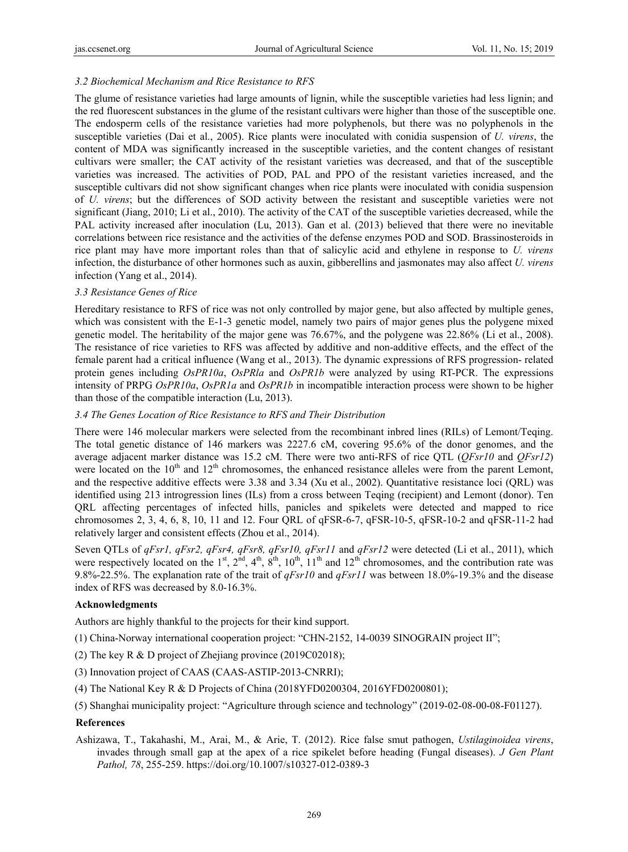## *3.2 Biochemical Mechanism and Rice Resistance to RFS*

The glume of resistance varieties had large amounts of lignin, while the susceptible varieties had less lignin; and the red fluorescent substances in the glume of the resistant cultivars were higher than those of the susceptible one. The endosperm cells of the resistance varieties had more polyphenols, but there was no polyphenols in the susceptible varieties (Dai et al., 2005). Rice plants were inoculated with conidia suspension of *U. virens*, the content of MDA was significantly increased in the susceptible varieties, and the content changes of resistant cultivars were smaller; the CAT activity of the resistant varieties was decreased, and that of the susceptible varieties was increased. The activities of POD, PAL and PPO of the resistant varieties increased, and the susceptible cultivars did not show significant changes when rice plants were inoculated with conidia suspension of *U. virens*; but the differences of SOD activity between the resistant and susceptible varieties were not significant (Jiang, 2010; Li et al., 2010). The activity of the CAT of the susceptible varieties decreased, while the PAL activity increased after inoculation (Lu, 2013). Gan et al. (2013) believed that there were no inevitable correlations between rice resistance and the activities of the defense enzymes POD and SOD. Brassinosteroids in rice plant may have more important roles than that of salicylic acid and ethylene in response to *U. virens* infection, the disturbance of other hormones such as auxin, gibberellins and jasmonates may also affect *U. virens* infection (Yang et al., 2014).

#### *3.3 Resistance Genes of Rice*

Hereditary resistance to RFS of rice was not only controlled by major gene, but also affected by multiple genes, which was consistent with the E-1-3 genetic model, namely two pairs of major genes plus the polygene mixed genetic model. The heritability of the major gene was 76.67%, and the polygene was 22.86% (Li et al., 2008). The resistance of rice varieties to RFS was affected by additive and non-additive effects, and the effect of the female parent had a critical influence (Wang et al., 2013). The dynamic expressions of RFS progression- related protein genes including *OsPR10a*, *OsPRla* and *OsPR1b* were analyzed by using RT-PCR. The expressions intensity of PRPG *OsPR10a*, *OsPR1a* and *OsPR1b* in incompatible interaction process were shown to be higher than those of the compatible interaction (Lu, 2013).

## *3.4 The Genes Location of Rice Resistance to RFS and Their Distribution*

There were 146 molecular markers were selected from the recombinant inbred lines (RILs) of Lemont/Teqing. The total genetic distance of 146 markers was 2227.6 cM, covering 95.6% of the donor genomes, and the average adjacent marker distance was 15.2 cM. There were two anti-RFS of rice QTL (*QFsr10* and *QFsr12*) were located on the  $10<sup>th</sup>$  and  $12<sup>th</sup>$  chromosomes, the enhanced resistance alleles were from the parent Lemont, and the respective additive effects were 3.38 and 3.34 (Xu et al., 2002). Quantitative resistance loci (QRL) was identified using 213 introgression lines (ILs) from a cross between Teqing (recipient) and Lemont (donor). Ten QRL affecting percentages of infected hills, panicles and spikelets were detected and mapped to rice chromosomes 2, 3, 4, 6, 8, 10, 11 and 12. Four QRL of qFSR-6-7, qFSR-10-5, qFSR-10-2 and qFSR-11-2 had relatively larger and consistent effects (Zhou et al., 2014).

Seven QTLs of *qFsr1, qFsr2, qFsr4, qFsr8, qFsr10, qFsr11* and *qFsr12* were detected (Li et al., 2011), which were respectively located on the 1<sup>st</sup>,  $2<sup>nd</sup>$ ,  $4<sup>th</sup>$ ,  $8<sup>th</sup>$ ,  $10<sup>th</sup>$ ,  $11<sup>th</sup>$  and  $12<sup>th</sup>$  chromosomes, and the contribution rate was 9.8%-22.5%. The explanation rate of the trait of *qFsr10* and *qFsr11* was between 18.0%-19.3% and the disease index of RFS was decreased by 8.0-16.3%.

#### **Acknowledgments**

Authors are highly thankful to the projects for their kind support.

- (1) China-Norway international cooperation project: "CHN-2152, 14-0039 SINOGRAIN project II";
- (2) The key R & D project of Zhejiang province (2019C02018);
- (3) Innovation project of CAAS (CAAS-ASTIP-2013-CNRRI);
- (4) The National Key R & D Projects of China (2018YFD0200304, 2016YFD0200801);
- (5) Shanghai municipality project: "Agriculture through science and technology" (2019-02-08-00-08-F01127).

#### **References**

Ashizawa, T., Takahashi, M., Arai, M., & Arie, T. (2012). Rice false smut pathogen, *Ustilaginoidea virens*, invades through small gap at the apex of a rice spikelet before heading (Fungal diseases). *J Gen Plant Pathol, 78*, 255-259. https://doi.org/10.1007/s10327-012-0389-3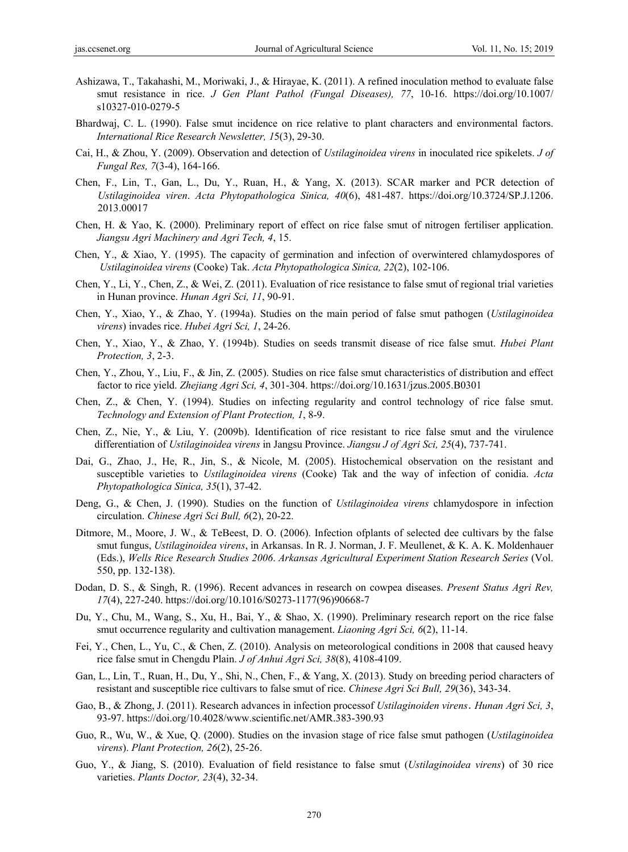- Ashizawa, T., Takahashi, M., Moriwaki, J., & Hirayae, K. (2011). A refined inoculation method to evaluate false smut resistance in rice. *J Gen Plant Pathol (Fungal Diseases), 77*, 10-16. https://doi.org/10.1007/ s10327-010-0279-5
- Bhardwaj, C. L. (1990). False smut incidence on rice relative to plant characters and environmental factors. *International Rice Research Newsletter, 1*5(3), 29-30.
- Cai, H., & Zhou, Y. (2009). Observation and detection of *Ustilaginoidea virens* in inoculated rice spikelets. *J of Fungal Res, 7*(3-4), 164-166.
- Chen, F., Lin, T., Gan, L., Du, Y., Ruan, H., & Yang, X. (2013). SCAR marker and PCR detection of *Ustilaginoidea viren*. *Acta Phytopathologica Sinica, 40*(6), 481-487. https://doi.org/10.3724/SP.J.1206. 2013.00017
- Chen, H. & Yao, K. (2000). Preliminary report of effect on rice false smut of nitrogen fertiliser application. *Jiangsu Agri Machinery and Agri Tech, 4*, 15.
- Chen, Y., & Xiao, Y. (1995). The capacity of germination and infection of overwintered chlamydospores of *Ustilaginoidea virens* (Cooke) Tak. *Acta Phytopathologica Sinica, 22*(2), 102-106.
- Chen, Y., Li, Y., Chen, Z., & Wei, Z. (2011). Evaluation of rice resistance to false smut of regional trial varieties in Hunan province. *Hunan Agri Sci, 11*, 90-91.
- Chen, Y., Xiao, Y., & Zhao, Y. (1994a). Studies on the main period of false smut pathogen (*Ustilaginoidea virens*) invades rice. *Hubei Agri Sci, 1*, 24-26.
- Chen, Y., Xiao, Y., & Zhao, Y. (1994b). Studies on seeds transmit disease of rice false smut. *Hubei Plant Protection, 3*, 2-3.
- Chen, Y., Zhou, Y., Liu, F., & Jin, Z. (2005). Studies on rice false smut characteristics of distribution and effect factor to rice yield. *Zhejiang Agri Sci, 4*, 301-304. https://doi.org/10.1631/jzus.2005.B0301
- Chen, Z., & Chen, Y. (1994). Studies on infecting regularity and control technology of rice false smut. *Technology and Extension of Plant Protection, 1*, 8-9.
- Chen, Z., Nie, Y., & Liu, Y. (2009b). Identification of rice resistant to rice false smut and the virulence differentiation of *Ustilaginoidea virens* in Jangsu Province. *Jiangsu J of Agri Sci, 25*(4), 737-741.
- Dai, G., Zhao, J., He, R., Jin, S., & Nicole, M. (2005). Histochemical observation on the resistant and susceptible varieties to *Ustilaginoidea virens* (Cooke) Tak and the way of infection of conidia. *Acta Phytopathologica Sinica, 35*(1), 37-42.
- Deng, G., & Chen, J. (1990). Studies on the function of *Ustilaginoidea virens* chlamydospore in infection circulation. *Chinese Agri Sci Bull, 6*(2), 20-22.
- Ditmore, M., Moore, J. W., & TeBeest, D. O. (2006). Infection ofplants of selected dee cultivars by the false smut fungus, *Ustilaginoidea virens*, in Arkansas. In R. J. Norman, J. F. Meullenet, & K. A. K. Moldenhauer (Eds.), *Wells Rice Research Studies 2006*. *Arkansas Agricultural Experiment Station Research Series* (Vol. 550, pp. 132-138).
- Dodan, D. S., & Singh, R. (1996). Recent advances in research on cowpea diseases. *Present Status Agri Rev, 17*(4), 227-240. https://doi.org/10.1016/S0273-1177(96)90668-7
- Du, Y., Chu, M., Wang, S., Xu, H., Bai, Y., & Shao, X. (1990). Preliminary research report on the rice false smut occurrence regularity and cultivation management. *Liaoning Agri Sci, 6*(2), 11-14.
- Fei, Y., Chen, L., Yu, C., & Chen, Z. (2010). Analysis on meteorological conditions in 2008 that caused heavy rice false smut in Chengdu Plain. *J of Anhui Agri Sci, 38*(8), 4108-4109.
- Gan, L., Lin, T., Ruan, H., Du, Y., Shi, N., Chen, F., & Yang, X. (2013). Study on breeding period characters of resistant and susceptible rice cultivars to false smut of rice. *Chinese Agri Sci Bull, 29*(36), 343-34.
- Gao, B., & Zhong, J. (2011). Research advances in infection processof *Ustilaginoiden virens*.*Hunan Agri Sci, 3*, 93-97. https://doi.org/10.4028/www.scientific.net/AMR.383-390.93
- Guo, R., Wu, W., & Xue, Q. (2000). Studies on the invasion stage of rice false smut pathogen (*Ustilaginoidea virens*). *Plant Protection, 26*(2), 25-26.
- Guo, Y., & Jiang, S. (2010). Evaluation of field resistance to false smut (*Ustilaginoidea virens*) of 30 rice varieties. *Plants Doctor, 23*(4), 32-34.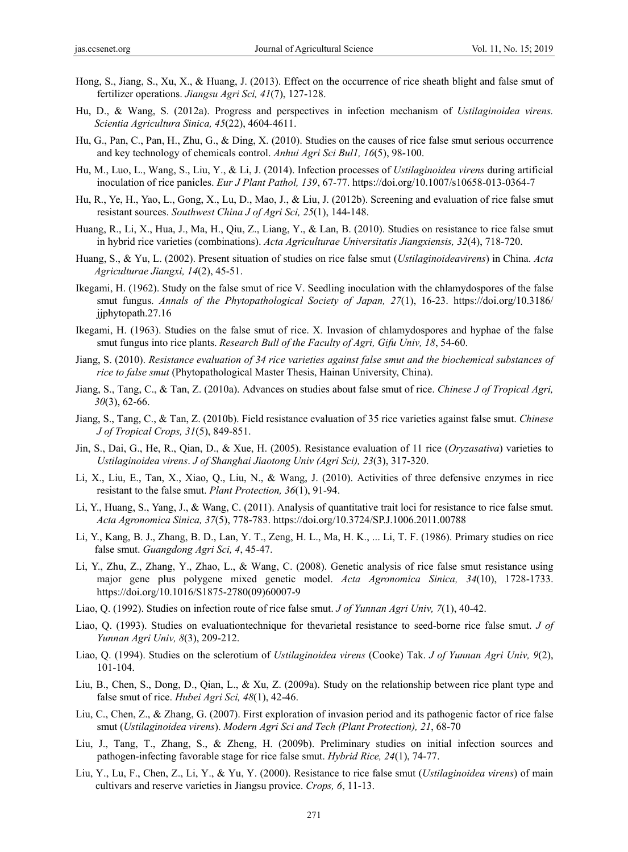- Hong, S., Jiang, S., Xu, X., & Huang, J. (2013). Effect on the occurrence of rice sheath blight and false smut of fertilizer operations. *Jiangsu Agri Sci, 41*(7), 127-128.
- Hu, D., & Wang, S. (2012a). Progress and perspectives in infection mechanism of *Ustilaginoidea virens. Scientia Agricultura Sinica, 45*(22), 4604-4611.
- Hu, G., Pan, C., Pan, H., Zhu, G., & Ding, X. (2010). Studies on the causes of rice false smut serious occurrence and key technology of chemicals control. *Anhui Agri Sci Bul1, 16*(5), 98-100.
- Hu, M., Luo, L., Wang, S., Liu, Y., & Li, J. (2014). Infection processes of *Ustilaginoidea virens* during artificial inoculation of rice panicles. *Eur J Plant Pathol, 139*, 67-77. https://doi.org/10.1007/s10658-013-0364-7
- Hu, R., Ye, H., Yao, L., Gong, X., Lu, D., Mao, J., & Liu, J. (2012b). Screening and evaluation of rice false smut resistant sources. *Southwest China J of Agri Sci, 25*(1), 144-148.
- Huang, R., Li, X., Hua, J., Ma, H., Qiu, Z., Liang, Y., & Lan, B. (2010). Studies on resistance to rice false smut in hybrid rice varieties (combinations). *Acta Agriculturae Universitatis Jiangxiensis, 32*(4), 718-720.
- Huang, S., & Yu, L. (2002). Present situation of studies on rice false smut (*Ustilaginoideavirens*) in China. *Acta Agriculturae Jiangxi, 14*(2), 45-51.
- Ikegami, H. (1962). Study on the false smut of rice V. Seedling inoculation with the chlamydospores of the false smut fungus. *Annals of the Phytopathological Society of Japan, 27*(1), 16-23. https://doi.org/10.3186/ jjphytopath.27.16
- Ikegami, H. (1963). Studies on the false smut of rice. X. Invasion of chlamydospores and hyphae of the false smut fungus into rice plants. *Research Bull of the Faculty of Agri, Gifu Univ, 18*, 54-60.
- Jiang, S. (2010). *Resistance evaluation of 34 rice varieties against false smut and the biochemical substances of rice to false smut* (Phytopathological Master Thesis, Hainan University, China).
- Jiang, S., Tang, C., & Tan, Z. (2010a). Advances on studies about false smut of rice. *Chinese J of Tropical Agri, 30*(3), 62-66.
- Jiang, S., Tang, C., & Tan, Z. (2010b). Field resistance evaluation of 35 rice varieties against false smut. *Chinese J of Tropical Crops, 31*(5), 849-851.
- Jin, S., Dai, G., He, R., Qian, D., & Xue, H. (2005). Resistance evaluation of 11 rice (*Oryzasativa*) varieties to *Ustilaginoidea virens*. *J of Shanghai Jiaotong Univ (Agri Sci), 23*(3), 317-320.
- Li, X., Liu, E., Tan, X., Xiao, Q., Liu, N., & Wang, J. (2010). Activities of three defensive enzymes in rice resistant to the false smut. *Plant Protection, 36*(1), 91-94.
- Li, Y., Huang, S., Yang, J., & Wang, C. (2011). Analysis of quantitative trait loci for resistance to rice false smut. *Acta Agronomica Sinica, 37*(5), 778-783. https://doi.org/10.3724/SP.J.1006.2011.00788
- Li, Y., Kang, B. J., Zhang, B. D., Lan, Y. T., Zeng, H. L., Ma, H. K., ... Li, T. F. (1986). Primary studies on rice false smut. *Guangdong Agri Sci, 4*, 45-47.
- Li, Y., Zhu, Z., Zhang, Y., Zhao, L., & Wang, C. (2008). Genetic analysis of rice false smut resistance using major gene plus polygene mixed genetic model. *Acta Agronomica Sinica, 34*(10), 1728-1733. https://doi.org/10.1016/S1875-2780(09)60007-9
- Liao, Q. (1992). Studies on infection route of rice false smut. *J of Yunnan Agri Univ, 7*(1), 40-42.
- Liao, Q. (1993). Studies on evaluationtechnique for thevarietal resistance to seed-borne rice false smut. *J of Yunnan Agri Univ, 8*(3), 209-212.
- Liao, Q. (1994). Studies on the sclerotium of *Ustilaginoidea virens* (Cooke) Tak. *J of Yunnan Agri Univ, 9*(2), 101-104.
- Liu, B., Chen, S., Dong, D., Qian, L., & Xu, Z. (2009a). Study on the relationship between rice plant type and false smut of rice. *Hubei Agri Sci, 48*(1), 42-46.
- Liu, C., Chen, Z., & Zhang, G. (2007). First exploration of invasion period and its pathogenic factor of rice false smut (*Ustilaginoidea virens*). *Modern Agri Sci and Tech (Plant Protection), 21*, 68-70
- Liu, J., Tang, T., Zhang, S., & Zheng, H. (2009b). Preliminary studies on initial infection sources and pathogen-infecting favorable stage for rice false smut. *Hybrid Rice, 24*(1), 74-77.
- Liu, Y., Lu, F., Chen, Z., Li, Y., & Yu, Y. (2000). Resistance to rice false smut (*Ustilaginoidea virens*) of main cultivars and reserve varieties in Jiangsu provice. *Crops, 6*, 11-13.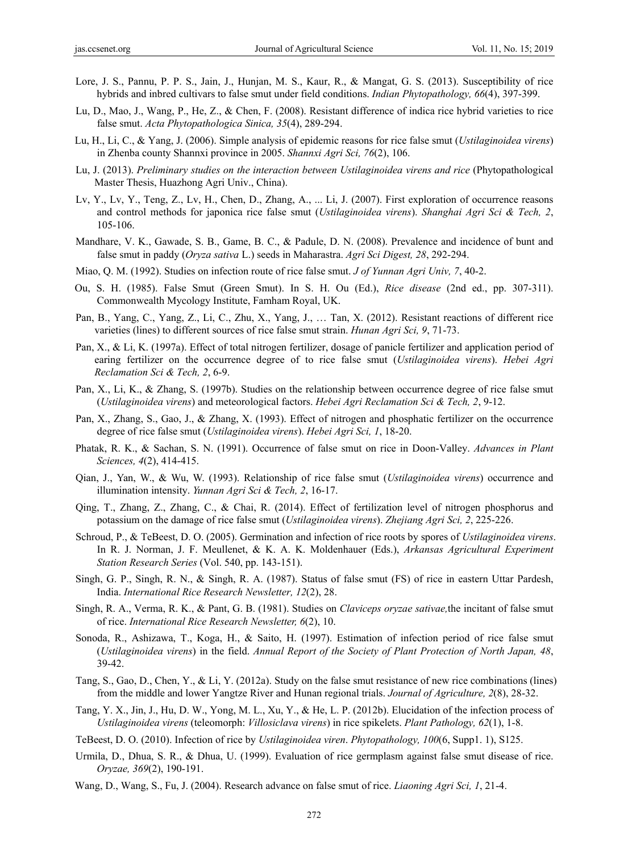- Lore, J. S., Pannu, P. P. S., Jain, J., Hunjan, M. S., Kaur, R., & Mangat, G. S. (2013). Susceptibility of rice hybrids and inbred cultivars to false smut under field conditions. *Indian Phytopathology, 66*(4), 397-399.
- Lu, D., Mao, J., Wang, P., He, Z., & Chen, F. (2008). Resistant difference of indica rice hybrid varieties to rice false smut. *Acta Phytopathologica Sinica, 35*(4), 289-294.
- Lu, H., Li, C., & Yang, J. (2006). Simple analysis of epidemic reasons for rice false smut (*Ustilaginoidea virens*) in Zhenba county Shannxi province in 2005. *Shannxi Agri Sci, 76*(2), 106.
- Lu, J. (2013). *Preliminary studies on the interaction between Ustilaginoidea virens and rice* (Phytopathological Master Thesis, Huazhong Agri Univ., China).
- Lv, Y., Lv, Y., Teng, Z., Lv, H., Chen, D., Zhang, A., ... Li, J. (2007). First exploration of occurrence reasons and control methods for japonica rice false smut (*Ustilaginoidea virens*). *Shanghai Agri Sci & Tech, 2*, 105-106.
- Mandhare, V. K., Gawade, S. B., Game, B. C., & Padule, D. N. (2008). Prevalence and incidence of bunt and false smut in paddy (*Oryza sativa* L.) seeds in Maharastra. *Agri Sci Digest, 28*, 292-294.
- Miao, Q. M. (1992). Studies on infection route of rice false smut. *J of Yunnan Agri Univ, 7*, 40-2.
- Ou, S. H. (1985). False Smut (Green Smut). In S. H. Ou (Ed.), *Rice disease* (2nd ed., pp. 307-311). Commonwealth Mycology Institute, Famham Royal, UK.
- Pan, B., Yang, C., Yang, Z., Li, C., Zhu, X., Yang, J., … Tan, X. (2012). Resistant reactions of different rice varieties (lines) to different sources of rice false smut strain. *Hunan Agri Sci, 9*, 71-73.
- Pan, X., & Li, K. (1997a). Effect of total nitrogen fertilizer, dosage of panicle fertilizer and application period of earing fertilizer on the occurrence degree of to rice false smut (*Ustilaginoidea virens*). *Hebei Agri Reclamation Sci & Tech, 2*, 6-9.
- Pan, X., Li, K., & Zhang, S. (1997b). Studies on the relationship between occurrence degree of rice false smut (*Ustilaginoidea virens*) and meteorological factors. *Hebei Agri Reclamation Sci & Tech, 2*, 9-12.
- Pan, X., Zhang, S., Gao, J., & Zhang, X. (1993). Effect of nitrogen and phosphatic fertilizer on the occurrence degree of rice false smut (*Ustilaginoidea virens*). *Hebei Agri Sci, 1*, 18-20.
- Phatak, R. K., & Sachan, S. N. (1991). Occurrence of false smut on rice in Doon-Valley. *Advances in Plant Sciences, 4*(2), 414-415.
- Qian, J., Yan, W., & Wu, W. (1993). Relationship of rice false smut (*Ustilaginoidea virens*) occurrence and illumination intensity. *Yunnan Agri Sci & Tech, 2*, 16-17.
- Qing, T., Zhang, Z., Zhang, C., & Chai, R. (2014). Effect of fertilization level of nitrogen phosphorus and potassium on the damage of rice false smut (*Ustilaginoidea virens*). *Zhejiang Agri Sci, 2*, 225-226.
- Schroud, P., & TeBeest, D. O. (2005). Germination and infection of rice roots by spores of *Ustilaginoidea virens*. In R. J. Norman, J. F. Meullenet, & K. A. K. Moldenhauer (Eds.), *Arkansas Agricultural Experiment Station Research Series* (Vol. 540, pp. 143-151).
- Singh, G. P., Singh, R. N., & Singh, R. A. (1987). Status of false smut (FS) of rice in eastern Uttar Pardesh, India. *International Rice Research Newsletter, 12*(2), 28.
- Singh, R. A., Verma, R. K., & Pant, G. B. (1981). Studies on *Claviceps oryzae sativae,*the incitant of false smut of rice. *International Rice Research Newsletter, 6*(2), 10.
- Sonoda, R., Ashizawa, T., Koga, H., & Saito, H. (1997). Estimation of infection period of rice false smut (*Ustilaginoidea virens*) in the field. *Annual Report of the Society of Plant Protection of North Japan, 48*, 39-42.
- Tang, S., Gao, D., Chen, Y., & Li, Y. (2012a). Study on the false smut resistance of new rice combinations (lines) from the middle and lower Yangtze River and Hunan regional trials. *Journal of Agriculture, 2*(8), 28-32.
- Tang, Y. X., Jin, J., Hu, D. W., Yong, M. L., Xu, Y., & He, L. P. (2012b). Elucidation of the infection process of *Ustilaginoidea virens* (teleomorph: *Villosiclava virens*) in rice spikelets. *Plant Pathology, 62*(1), 1-8.
- TeBeest, D. O. (2010). Infection of rice by *Ustilaginoidea viren*. *Phytopathology, 100*(6, Supp1. 1), S125.
- Urmila, D., Dhua, S. R., & Dhua, U. (1999). Evaluation of rice germplasm against false smut disease of rice. *Oryzae, 369*(2), 190-191.
- Wang, D., Wang, S., Fu, J. (2004). Research advance on false smut of rice. *Liaoning Agri Sci, 1*, 21-4.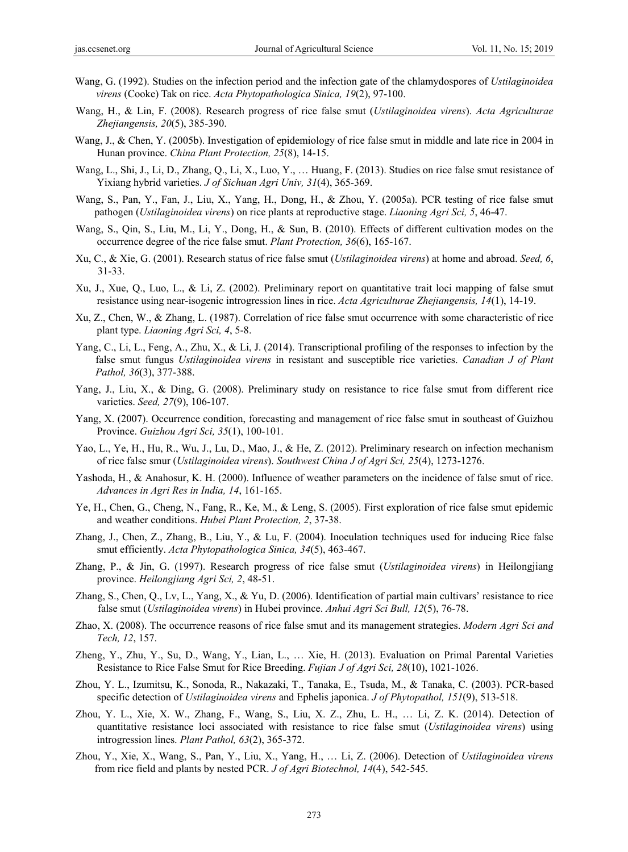- Wang, G. (1992). Studies on the infection period and the infection gate of the chlamydospores of *Ustilaginoidea virens* (Cooke) Tak on rice. *Acta Phytopathologica Sinica, 19*(2), 97-100.
- Wang, H., & Lin, F. (2008). Research progress of rice false smut (*Ustilaginoidea virens*). *Acta Agriculturae Zhejiangensis, 20*(5), 385-390.
- Wang, J., & Chen, Y. (2005b). Investigation of epidemiology of rice false smut in middle and late rice in 2004 in Hunan province. *China Plant Protection, 25*(8), 14-15.
- Wang, L., Shi, J., Li, D., Zhang, Q., Li, X., Luo, Y., … Huang, F. (2013). Studies on rice false smut resistance of Yixiang hybrid varieties. *J of Sichuan Agri Univ, 31*(4), 365-369.
- Wang, S., Pan, Y., Fan, J., Liu, X., Yang, H., Dong, H., & Zhou, Y. (2005a). PCR testing of rice false smut pathogen (*Ustilaginoidea virens*) on rice plants at reproductive stage. *Liaoning Agri Sci, 5*, 46-47.
- Wang, S., Qin, S., Liu, M., Li, Y., Dong, H., & Sun, B. (2010). Effects of different cultivation modes on the occurrence degree of the rice false smut. *Plant Protection, 36*(6), 165-167.
- Xu, C., & Xie, G. (2001). Research status of rice false smut (*Ustilaginoidea virens*) at home and abroad. *Seed, 6*, 31-33.
- Xu, J., Xue, Q., Luo, L., & Li, Z. (2002). Preliminary report on quantitative trait loci mapping of false smut resistance using near-isogenic introgression lines in rice. *Acta Agriculturae Zhejiangensis, 14*(1), 14-19.
- Xu, Z., Chen, W., & Zhang, L. (1987). Correlation of rice false smut occurrence with some characteristic of rice plant type. *Liaoning Agri Sci, 4*, 5-8.
- Yang, C., Li, L., Feng, A., Zhu, X., & Li, J. (2014). Transcriptional profiling of the responses to infection by the false smut fungus *Ustilaginoidea virens* in resistant and susceptible rice varieties. *Canadian J of Plant Pathol, 36*(3), 377-388.
- Yang, J., Liu, X., & Ding, G. (2008). Preliminary study on resistance to rice false smut from different rice varieties. *Seed, 27*(9), 106-107.
- Yang, X. (2007). Occurrence condition, forecasting and management of rice false smut in southeast of Guizhou Province. *Guizhou Agri Sci, 35*(1), 100-101.
- Yao, L., Ye, H., Hu, R., Wu, J., Lu, D., Mao, J., & He, Z. (2012). Preliminary research on infection mechanism of rice false smur (*Ustilaginoidea virens*). *Southwest China J of Agri Sci, 25*(4), 1273-1276.
- Yashoda, H., & Anahosur, K. H. (2000). Influence of weather parameters on the incidence of false smut of rice. *Advances in Agri Res in India, 14*, 161-165.
- Ye, H., Chen, G., Cheng, N., Fang, R., Ke, M., & Leng, S. (2005). First exploration of rice false smut epidemic and weather conditions. *Hubei Plant Protection, 2*, 37-38.
- Zhang, J., Chen, Z., Zhang, B., Liu, Y., & Lu, F. (2004). Inoculation techniques used for inducing Rice false smut efficiently. *Acta Phytopathologica Sinica, 34*(5), 463-467.
- Zhang, P., & Jin, G. (1997). Research progress of rice false smut (*Ustilaginoidea virens*) in Heilongjiang province. *Heilongjiang Agri Sci, 2*, 48-51.
- Zhang, S., Chen, Q., Lv, L., Yang, X., & Yu, D. (2006). Identification of partial main cultivars' resistance to rice false smut (*Ustilaginoidea virens*) in Hubei province. *Anhui Agri Sci Bull, 12*(5), 76-78.
- Zhao, X. (2008). The occurrence reasons of rice false smut and its management strategies. *Modern Agri Sci and Tech, 12*, 157.
- Zheng, Y., Zhu, Y., Su, D., Wang, Y., Lian, L., … Xie, H. (2013). Evaluation on Primal Parental Varieties Resistance to Rice False Smut for Rice Breeding. *Fujian J of Agri Sci, 28*(10), 1021-1026.
- Zhou, Y. L., Izumitsu, K., Sonoda, R., Nakazaki, T., Tanaka, E., Tsuda, M., & Tanaka, C. (2003). PCR-based specific detection of *Ustilaginoidea virens* and Ephelis japonica. *J of Phytopathol, 151*(9), 513-518.
- Zhou, Y. L., Xie, X. W., Zhang, F., Wang, S., Liu, X. Z., Zhu, L. H., … Li, Z. K. (2014). Detection of quantitative resistance loci associated with resistance to rice false smut (*Ustilaginoidea virens*) using introgression lines. *Plant Pathol, 63*(2), 365-372.
- Zhou, Y., Xie, X., Wang, S., Pan, Y., Liu, X., Yang, H., … Li, Z. (2006). Detection of *Ustilaginoidea virens* from rice field and plants by nested PCR. *J of Agri Biotechnol, 14*(4), 542-545.